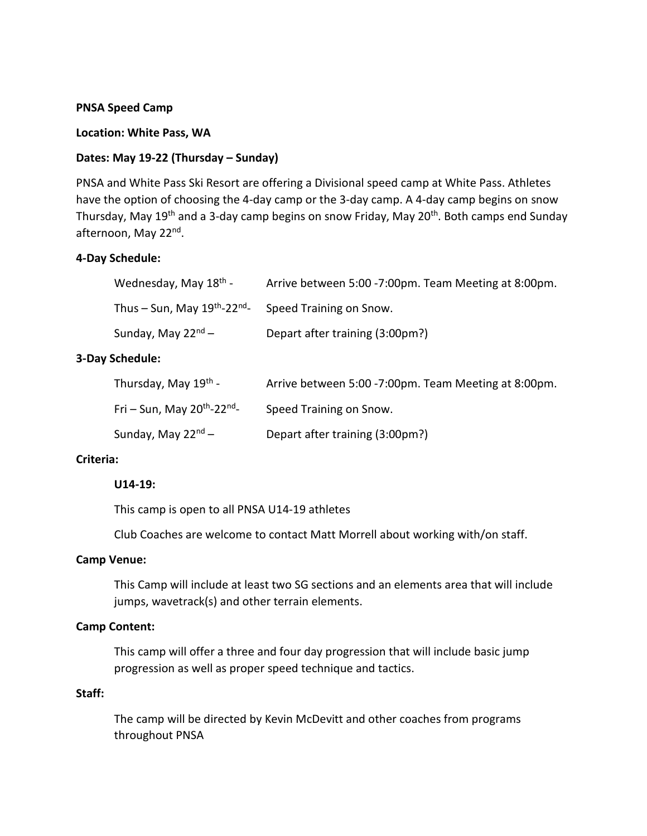## **PNSA Speed Camp**

### **Location: White Pass, WA**

# **Dates: May 19-22 (Thursday – Sunday)**

PNSA and White Pass Ski Resort are offering a Divisional speed camp at White Pass. Athletes have the option of choosing the 4-day camp or the 3-day camp. A 4-day camp begins on snow Thursday, May 19<sup>th</sup> and a 3-day camp begins on snow Friday, May 20<sup>th</sup>. Both camps end Sunday afternoon, May 22nd.

# **4-Day Schedule:**

| Wednesday, May 18 <sup>th</sup> -                    | Arrive between 5:00 -7:00pm. Team Meeting at 8:00pm. |
|------------------------------------------------------|------------------------------------------------------|
| Thus – Sun, May 19 <sup>th</sup> -22 <sup>nd</sup> - | Speed Training on Snow.                              |
| Sunday, May 22 <sup>nd</sup> –                       | Depart after training (3:00pm?)                      |

## **3-Day Schedule:**

| Thursday, May 19 <sup>th</sup> -             | Arrive between 5:00 -7:00pm. Team Meeting at 8:00pm. |
|----------------------------------------------|------------------------------------------------------|
| Fri – Sun, May $20^{th}$ -22 <sup>nd</sup> - | Speed Training on Snow.                              |
| Sunday, May $22^{nd}$ –                      | Depart after training (3:00pm?)                      |

# **Criteria:**

#### **U14-19:**

This camp is open to all PNSA U14-19 athletes

Club Coaches are welcome to contact Matt Morrell about working with/on staff.

#### **Camp Venue:**

This Camp will include at least two SG sections and an elements area that will include jumps, wavetrack(s) and other terrain elements.

# **Camp Content:**

This camp will offer a three and four day progression that will include basic jump progression as well as proper speed technique and tactics.

# **Staff:**

The camp will be directed by Kevin McDevitt and other coaches from programs throughout PNSA